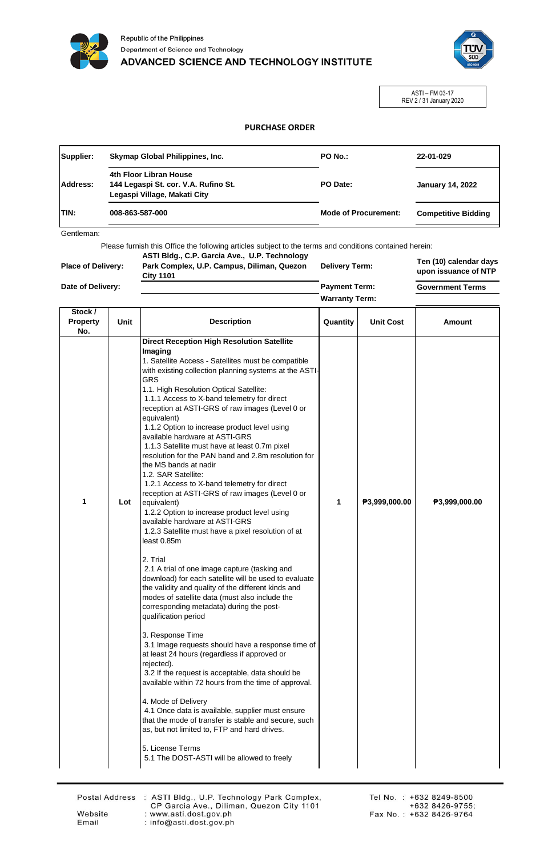



ASTI – FM 03-17 REV 2 / 31 January 2020

## **PURCHASE ORDER**

| Supplier:    | Skymap Global Philippines, Inc.                                                                | PO No.:                     | 22-01-029                  |
|--------------|------------------------------------------------------------------------------------------------|-----------------------------|----------------------------|
| Address:     | 4th Floor Libran House<br>144 Legaspi St. cor. V.A. Rufino St.<br>Legaspi Village, Makati City | PO Date:                    | <b>January 14, 2022</b>    |
| <b>ITIN:</b> | 008-863-587-000                                                                                | <b>Mode of Procurement:</b> | <b>Competitive Bidding</b> |

Gentleman:

Please furnish this Office the following articles subject to the terms and conditions contained herein:

**Ten (10) calendar days upon issuance of NTP Government Terms Payment Term: Place of Delivery: Date of Delivery: ASTI Bldg., C.P. Garcia Ave., U.P. Technology Park Complex, U.P. Campus, Diliman, Quezon City 1101 Delivery Term: Warranty Term:**

| Stock /<br><b>Property</b> | Unit | <b>Description</b>                                                                                                                                                                                                                                                                                                                                                                                                                                                                                                                                                                                                                                                                                                                                                                                                                                                                                                                                                                                                                                                                                                                                                                                                                                                                                                                                                                                                                                                                                                                                                                                                                                                             | Quantity | <b>Unit Cost</b> | Amount        |
|----------------------------|------|--------------------------------------------------------------------------------------------------------------------------------------------------------------------------------------------------------------------------------------------------------------------------------------------------------------------------------------------------------------------------------------------------------------------------------------------------------------------------------------------------------------------------------------------------------------------------------------------------------------------------------------------------------------------------------------------------------------------------------------------------------------------------------------------------------------------------------------------------------------------------------------------------------------------------------------------------------------------------------------------------------------------------------------------------------------------------------------------------------------------------------------------------------------------------------------------------------------------------------------------------------------------------------------------------------------------------------------------------------------------------------------------------------------------------------------------------------------------------------------------------------------------------------------------------------------------------------------------------------------------------------------------------------------------------------|----------|------------------|---------------|
|                            |      |                                                                                                                                                                                                                                                                                                                                                                                                                                                                                                                                                                                                                                                                                                                                                                                                                                                                                                                                                                                                                                                                                                                                                                                                                                                                                                                                                                                                                                                                                                                                                                                                                                                                                |          |                  |               |
| No.<br>1                   | Lot  | <b>Direct Reception High Resolution Satellite</b><br>Imaging<br>1. Satellite Access - Satellites must be compatible<br>with existing collection planning systems at the ASTI-<br>GRS<br>1.1. High Resolution Optical Satellite:<br>1.1.1 Access to X-band telemetry for direct<br>reception at ASTI-GRS of raw images (Level 0 or<br>equivalent)<br>1.1.2 Option to increase product level using<br>available hardware at ASTI-GRS<br>1.1.3 Satellite must have at least 0.7m pixel<br>resolution for the PAN band and 2.8m resolution for<br>the MS bands at nadir<br>1.2. SAR Satellite:<br>1.2.1 Access to X-band telemetry for direct<br>reception at ASTI-GRS of raw images (Level 0 or<br>equivalent)<br>1.2.2 Option to increase product level using<br>available hardware at ASTI-GRS<br>1.2.3 Satellite must have a pixel resolution of at<br>least 0.85m<br>2. Trial<br>2.1 A trial of one image capture (tasking and<br>download) for each satellite will be used to evaluate<br>the validity and quality of the different kinds and<br>modes of satellite data (must also include the<br>corresponding metadata) during the post-<br>qualification period<br>3. Response Time<br>3.1 Image requests should have a response time of<br>at least 24 hours (regardless if approved or<br>rejected).<br>3.2 If the request is acceptable, data should be<br>available within 72 hours from the time of approval.<br>4. Mode of Delivery<br>4.1 Once data is available, supplier must ensure<br>that the mode of transfer is stable and secure, such<br>as, but not limited to, FTP and hard drives.<br>5. License Terms<br>5.1 The DOST-ASTI will be allowed to freely | 1        | P3,999,000.00    | ₱3,999,000.00 |
|                            |      |                                                                                                                                                                                                                                                                                                                                                                                                                                                                                                                                                                                                                                                                                                                                                                                                                                                                                                                                                                                                                                                                                                                                                                                                                                                                                                                                                                                                                                                                                                                                                                                                                                                                                |          |                  |               |

Website

Email